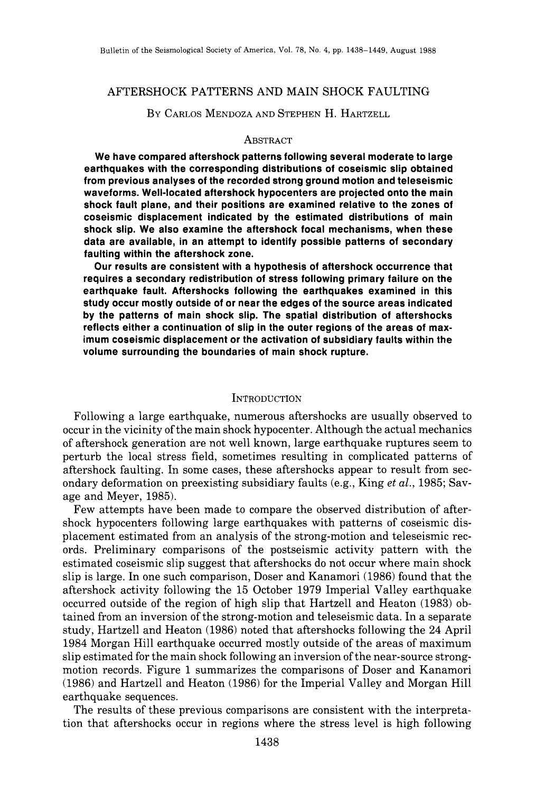## AFTERSHOCK PATTERNS AND MAIN SHOCK FAULTING

# BY CARLOS MENDOZA AND STEPHEN H. HARTZELL

#### **ABSTRACT**

**We have compared aftershock patterns following several moderate to large earthquakes with the corresponding distributions of coseismic slip obtained from previous analyses of the recorded strong ground motion and teleseismic waveforms. Well-located aftershock hypocenters are projected onto the main shock fault plane, and their positions are examined relative to the zones of coseismic displacement indicated by the estimated distributions of main shock slip. We also examine the aftershock focal mechanisms, when these data are available, in an attempt to identify possible patterns of secondary faulting within the aftershock zone.** 

**Our results are consistent with a hypothesis of aftershock occurrence that requires a secondary redistribution of stress following primary failure on the earthquake fault. Aftershocks following the earthquakes examined in this study occur mostly outside of or near the edges of the source areas indicated by the patterns of main shock slip. The spatial distribution of aftershocks reflects either a continuation of slip in the outer regions of the areas of maximum coseismic displacement or the activation of subsidiary faults within the volume surrounding the boundaries of main shock rupture.** 

#### **INTRODUCTION**

Following a large earthquake, numerous aftershocks are usually observed to occur in the vicinity of the main shock hypocenter. Although the actual mechanics of aftershock generation are not well known, large earthquake ruptures seem to perturb the local stress field, sometimes resulting in complicated patterns of aftershock faulting. In some cases, these aftershocks appear to result from secondary deformation on preexisting subsidiary faults (e.g., King *et al.,* 1985; Savage and Meyer, 1985).

Few attempts have been made to compare the observed distribution of aftershock hypocenters following large earthquakes with patterns of coseismic displacement estimated from an analysis of the strong-motion and teleseismic records. Preliminary comparisons of the postseismic activity pattern with the estimated coseismic slip suggest that aftershocks do not occur where main shock slip is large. In one such comparison, Doser and Kanamori (1986) found that the aftershock activity following the 15 October 1979 Imperial Valley earthquake occurred outside of the region of high slip that Hartzell and Heaton (1983) obtained from an inversion of the strong-motion and teleseismic data. In a separate study, Hartzell and Heaton (1986) noted that aftershocks following the 24 April 1984 Morgan Hill earthquake occurred mostly outside of the areas of maximum slip estimated for the main shock following an inversion of the near-source strongmotion records. Figure 1 summarizes the comparisons of Doser and Kanamori (1986) and Hartzell and Heaton (1986) for the Imperial Valley and Morgan Hill earthquake sequences.

The results of these previous comparisons are consistent with the interpretation that aftershocks occur in regions where the stress level is high following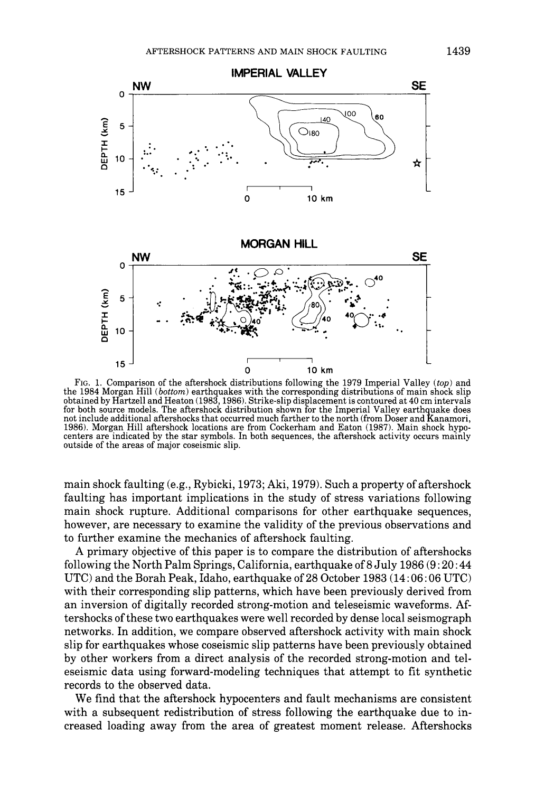

FIG. 1. Comparison of the aftershock distributions following the 1979 Imperial Valley *(top)* and the 1984 Morgan Hill (bottom) earthquakes with the corresponding distributions of main shock slip obtained by Hartzell and Heaton (1983, 1986). Strike-slip displacement is contoured at 40 cm intervals for both source models. The aftershock distribution shown for the Imperial Valley earthquake does not include additional aftershocks that occurred much farther to the north (from Doser and Kanamori, 1986). Morgan Hill aftershock locations are from Cockerham and Eaton (1987). Main shock hypocenters are indicated by the star symbols. In both sequences, the aftershock activity occurs mainly outside of the areas of major coseismic slip.

main shock faulting (e.g., Rybicki, 1973; Aki, 1979). Such a property of aftershock faulting has important implications in the study of stress variations following main shock rupture. Additional comparisons for other earthquake sequences, however, are necessary to examine the validity of the previous observations and to further examine the mechanics of aftershock faulting.

A primary objective of this paper is to compare the distribution of aftershocks following the North Palm Springs, California, earthquake of 8 July 1986 (9 : 20:44 UTC) and the Borah Peak, Idaho, earthquake of 28 October 1983 (14:06:06 UTC) with their corresponding slip patterns, which have been previously derived from an inversion of digitally recorded strong-motion and teleseismic waveforms. Aftershocks of these two earthquakes were well recorded by dense local seismograph networks. In addition, we compare observed aftershock activity with main shock slip for earthquakes whose coseismic slip patterns have been previously obtained by other workers from a direct analysis of the recorded strong-motion and teleseismic data using forward-modeling techniques that attempt to fit synthetic records to the observed data.

We find that the aftershock hypocenters and fault mechanisms are consistent with a subsequent redistribution of stress following the earthquake due to increased loading away from the area of greatest moment release. Aftershocks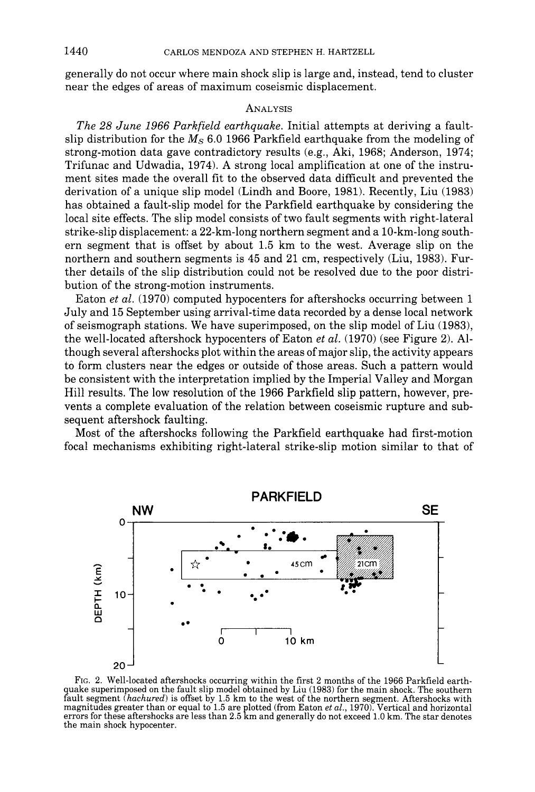generally do not occur where main shock slip is large and, instead, tend to cluster near the edges of areas of maximum coseismic displacement.

## **ANALYSIS**

*The 28 June 1966 Parkfield earthquake.* Initial attempts at deriving a faultslip distribution for the  $M<sub>S</sub>$  6.0 1966 Parkfield earthquake from the modeling of strong-motion data gave contradictory results (e.g., Aki, 1968; Anderson, 1974; Trifunac and Udwadia, 1974). A strong local amplification at one of the instrument sites made the overall fit to the observed data difficult and prevented the derivation of a unique slip model (Lindh and Boore, 1981). Recently, Liu (1983) has obtained a fault-slip model for the Parkfield earthquake by considering the local site effects. The slip model consists of two fault segments with right-lateral strike-slip displacement: a 22-km-long northern segment and a 10-km-long southern segment that is offset by about 1.5 km to the west. Average slip on the northern and southern segments is 45 and 21 cm, respectively (Liu, 1983). Further details of the slip distribution could not be resolved due to the poor distribution of the strong-motion instruments.

Eaton *et al.* (1970) computed hypocenters for aftershocks occurring between 1 July and 15 September using arrival-time data recorded by a dense local network of seismograph stations. We have superimposed, on the slip model of Liu (1983), the well-located aftershock hypocenters of Eaton *et al.* (1970) (see Figure 2). Although several aftershocks plot within the areas of major slip, the activity appears to form clusters near the edges or outside of those areas. Such a pattern would be consistent with the interpretation implied by the Imperial Valley and Morgan Hill results. The low resolution of the 1966 Parkfield slip pattern, however, prevents a complete evaluation of the relation between coseismic rupture and subsequent aftershock faulting.

Most of the aftershocks following the Parkfield earthquake had first-motion focal mechanisms exhibiting right-lateral strike-slip motion similar to that of



FIG. 2. Well-located aftershocks occurring within the first 2 months of the 1966 Parkfield earthquake superimposed on the fault slip model obtained by Liu (1983) for the main shock. The southern fault segment *(hachured)* is offset by 1.5 km to the west of the northern segment. Aftershocks with magnitudes greater than or equal to 1.5 are plotted (from Eaton *et al.,* 1970). Vertical and horizontal errors for these aftershocks are less than 2.5 km and generally do not exceed 1.0 km. The star denotes the main shock hypocenter.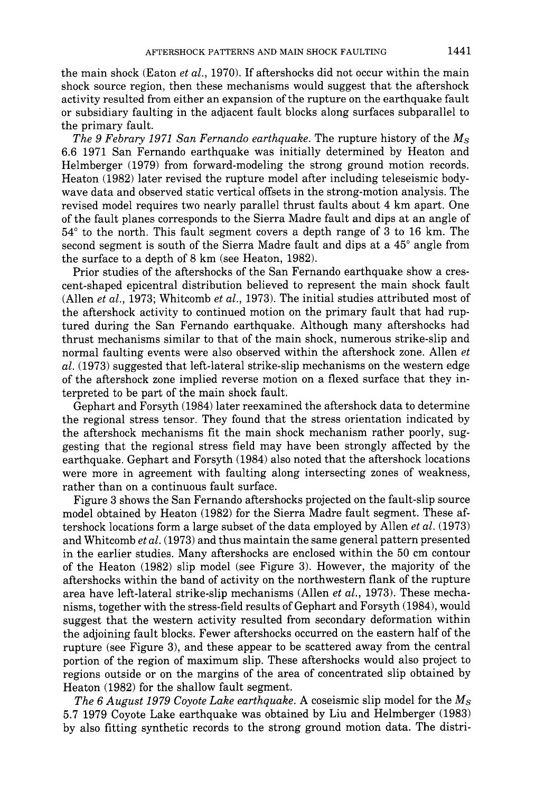the main shock (Eaton *et al.,* 1970). If aftershocks did not occur within the main shock source region, then these mechanisms would suggest that the aftershock activity resulted from either an expansion of the rupture on the earthquake fault or subsidiary faulting in the adjacent fault blocks along surfaces subparallel to the primary fault.

*The 9 Febrary 1971 San Fernando earthquake.* The rupture history of the Ms 6.6 1971 San Fernando earthquake was initially determined by Heaton and Helmberger (1979) from forward-modeling the strong ground motion records. Heaton (1982) later revised the rupture model after including teleseismic bodywave data and observed static vertical offsets in the strong-motion analysis. The revised model requires two nearly parallel thrust faults about 4 km apart. One of the fault planes corresponds to the Sierra Madre fault and dips at an angle of  $54^{\circ}$  to the north. This fault segment covers a depth range of 3 to 16 km. The second segment is south of the Sierra Madre fault and dips at a 45<sup>°</sup> angle from the surface to a depth of 8 km (see Heaton, 1982).

Prior studies of the aftershocks of the San Fernando earthquake show a crescent-shaped epicentral distribution believed to represent the main shock fault (Allen *et al.,* 1973; Whitcomb *et al.,* 1973). The initial studies attributed most of the aftershock activity to continued motion on the primary fault that had ruptured during the San Fernando earthquake. Although many aftershocks had thrust mechanisms similar to that of the main shock, numerous strike-slip and normal faulting events were also observed within the aftershock zone. Allen *et al.* (1973) suggested that left-lateral strike-slip mechanisms on the western edge of the aftershock zone implied reverse motion on a flexed surface that they interpreted to be part of the main shock fault.

Gephart and Forsyth (1984) later reexamined the aftershock data to determine the regional stress tensor. They found that the stress orientation indicated by the aftershock mechanisms fit the main shock mechanism rather poorly, suggesting that the regional stress field may have been strongly affected by the earthquake. Gephart and Forsyth (1984) also noted that the aftershock locations were more in agreement with faulting along intersecting zones of weakness, rather than on a continuous fault surface.

Figure 3 shows the San Fernando aftershocks projected on the fault-slip source model obtained by Heaton (1982) for the Sierra Madre fault segment. These aftershock locations form a large subset of the data employed by Allen *et al.* (1973) and Whitcomb *et al.* (1973) and thus maintain the same general pattern presented in the earlier studies. Many aftershocks are enclosed within the 50 cm contour of the Heaton (1982) slip model (see Figure 3). However, the majority of the aftershocks within the band of activity on the northwestern flank of the rupture area have left-lateral strike-slip mechanisms (Allen *et al.,* 1973). These mechanisms, together with the stress-field results of Gephart and Forsyth (1984), would suggest that the western activity resulted from secondary deformation within the adjoining fault blocks. Fewer aftershocks occurred on the eastern half of the rupture (see Figure 3), and these appear to be scattered away from the central portion of the region of maximum slip. These aftershocks would also project to regions outside or on the margins of the area of concentrated slip obtained by Heaton (1982) for the shallow fault segment.

*The 6 August 1979 Coyote Lake earthquake.* A coseismic slip model for the *Ms*  5.7 1979 Coyote Lake earthquake was obtained by Liu and Helmberger (1983) by also fitting synthetic records to the strong ground motion data. The distri-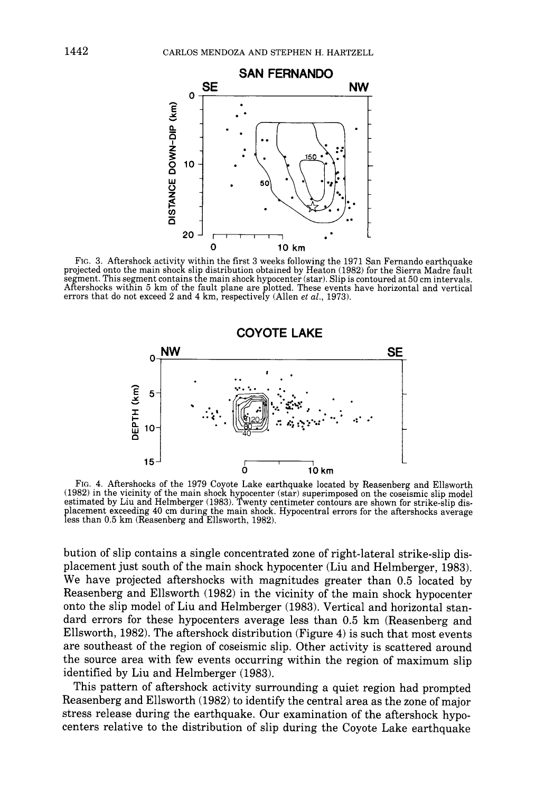

Fro. 3. Aftershock activity within the first 3 weeks following the 1971 San Fernando earthquake projected onto the main shock slip distribution obtained by Heaton (1982) for the Sierra Madre fault segment. This segment contains the main shock hypocenter (star). Slip is contoured at 50 cm intervals. Aftershocks within 5 km of the fault plane are plotted. These events have horizontal and vertical errors that do not exceed 2 and 4 km, respectively (Allen *et al.,* 1973).



FIG. 4. Aftershocks of the 1979 Coyote Lake earthquake located by Reasenberg and Ellsworth (1982) in the vicinity of the main shock hypocenter (star) superimposed on the coseismic slip model estimated by Liu and Helmberger (1983). Twenty centimeter contours are shown for strike-slip dislacement exceeding 40 cm during the main shock. Hypocentral errors for the aftershocks average less than 0.5 km (Reasenberg and Ellsworth, 1982).

bution of slip contains a single concentrated zone of right-lateral strike-slip displacement just south of the main shock hypocenter (Liu and Helmberger, 1983). We have projected aftershocks with magnitudes greater than 0.5 located by Reasenberg and Ellsworth (1982) in the vicinity of the main shock hypocenter onto the slip model of Liu and Helmberger (1983). Vertical and horizontal standard errors for these hypocenters average less than 0.5 km (Reasenberg and Ellsworth, 1982). The aftershock distribution (Figure 4) is such that most events are southeast of the region of coseismic slip. Other activity is scattered around the source area with few events occurring within the region of maximum slip identified by Liu and Helmberger (1983).

This pattern of aftershock activity surrounding a quiet region had prompted Reasenberg and Ellsworth (1982) to identify the central area as the zone of major stress release during the earthquake. Our examination of the aftershock hypocenters relative to the distribution of slip during the Coyote Lake earthquake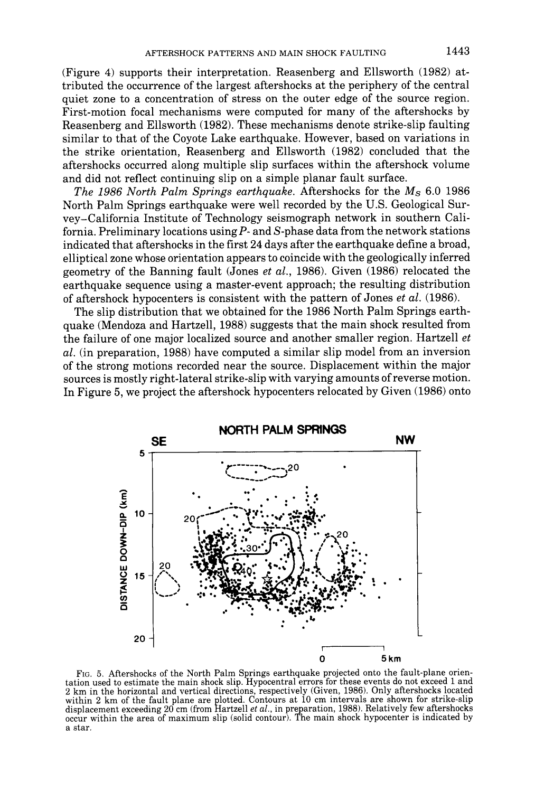(Figure 4) supports their interpretation. Reasenberg and Ellsworth (1982) attributed the occurrence of the largest aftershocks at the periphery of the central quiet zone to a concentration of stress on the outer edge of the source region. First-motion focal mechanisms were computed for many of the aftershocks by Reasenberg and Ellsworth (1982). These mechanisms denote strike-slip faulting similar to that of the Coyote Lake earthquake. However, based on variations in the strike orientation, Reasenberg and Ellsworth (1982) concluded that the aftershocks occurred along multiple slip surfaces within the aftershock volume and did not reflect continuing slip on a simple planar fault surface.

*The 1986 North Palm Springs earthquake.* Aftershocks for the  $M_s$  6.0 1986 North Palm Springs earthquake were well recorded by the U.S. Geological Survey-California Institute of Technology seismograph network in southern California. Preliminary locations using  $P$ - and  $S$ -phase data from the network stations indicated that aftershocks in the first 24 days after the earthquake define a broad, elliptical zone whose orientation appears to coincide with the geologically inferred geometry of the Banning fault (Jones *et al.,* 1986). Given (1986) relocated the earthquake sequence using a master-event approach; the resulting distribution of aftershock hypocenters is consistent with the pattern of Jones *et al.* (1986).

The slip distribution that we obtained for the 1986 North Palm Springs earthquake (Mendoza and Hartzell, 1988) suggests that the main shock resulted from the failure of one major localized source and another smaller region. Hartzell *et al.* (in preparation, 1988) have computed a similar slip model from an inversion of the strong motions recorded near the source. Displacement within the major sources is mostly right-lateral strike-slip with varying amounts of reverse motion. In Figure 5, we project the aftershock hypocenters relocated by Given (1986) onto



FIG. 5. Aftershocks of the North Palm Springs earthquake projected onto the fault-plane orientation used to estimate the main shock slip. Hypocentral errors for these events do not exceed 1 and 2 km in the horizontal and vertical directions, respectively (Given, 1986). Only aftershocks located within 2 km of the fault plane are plotted. Contours at 10 cm intervals are shown for strike-slip displacement exceeding 20 cm (from Hartzell *et al.,* in preparation, 1988). Relatively few aftershocks occur within the area of maximum slip (solid contour). The main shock hypocenter is indicated by a star.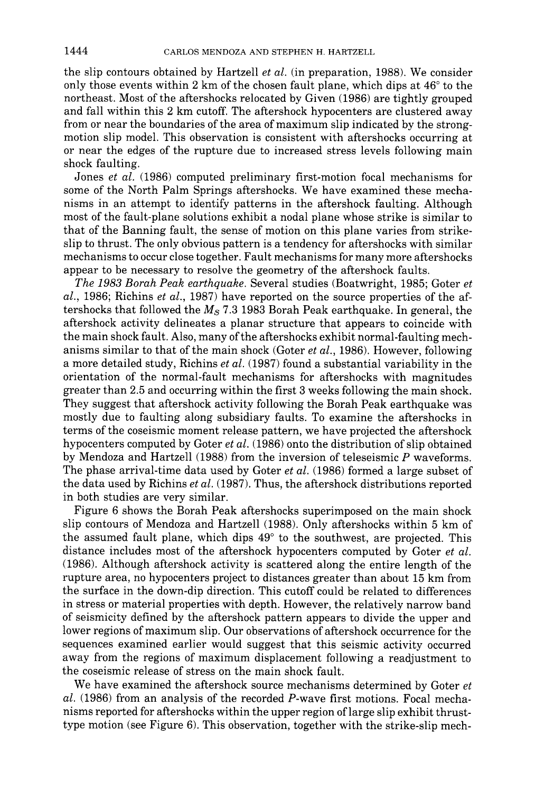the slip contours obtained by Hartzell *et al.* (in preparation, 1988). We consider only those events within 2 km of the chosen fault plane, which dips at  $46^{\circ}$  to the northeast. Most of the aftershocks relocated by Given (1986) are tightly grouped and fall within this 2 km cutoff. The aftershock hypocenters are clustered away from or near the boundaries of the area of maximum slip indicated by the strongmotion slip model. This observation is consistent with aftershocks occurring at or near the edges of the rupture due to increased stress levels following main shock faulting.

Jones *et al.* (1986) computed preliminary first-motion focal mechanisms for some of the North Palm Springs aftershocks. We have examined these mechanisms in an attempt to identify patterns in the aftershock faulting. Although most of the fault-plane solutions exhibit a nodal plane whose strike is similar to that of the Banning fault, the sense of motion on this plane varies from strikeslip to thrust. The only obvious pattern is a tendency for aftershocks with similar mechanisms to occur close together. Fault mechanisms for many more aftershocks appear to be necessary to resolve the geometry of the aftershock faults.

*The 1983 Borah Peak earthquake.* Several studies (Boatwright, 1985; Goter *et al.,* 1986; Richins *et al.,* 1987) have reported on the source properties of the aftershocks that followed the  $M_s$  7.3 1983 Borah Peak earthquake. In general, the aftershock activity delineates a planar structure that appears to coincide with the main shock fault. Also, many of the aftershocks exhibit normal-faulting mechanisms similar to that of the main shock (Goter *et al.,* 1986). However, following a more detailed study, Richins *et al.* (1987) found a substantial variability in the orientation of the normal-fault mechanisms for aftershocks with magnitudes greater than 2.5 and occurring within the first 3 weeks following the main shock. They suggest that aftershock activity following the Borah Peak earthquake was mostly due to faulting along subsidiary faults. To examine the aftershocks in terms of the coseismic moment release pattern, we have projected the aftershock hypocenters computed by Goter *et al.* (1986) onto the distribution of slip obtained by Mendoza and Hartzell (1988) from the inversion of teleseismic  $P$  waveforms. The phase arrival-time data used by Goter *et al.* (1986) formed a large subset of the data used by Richins *et al.* (1987). Thus, the aftershock distributions reported in both studies are very similar.

Figure 6 shows the Borah Peak aftershocks superimposed on the main shock slip contours of Mendoza and Hartzell (1988). Only aftershocks within 5 km of the assumed fault plane, which dips  $49^{\circ}$  to the southwest, are projected. This distance includes most of the aftershock hypocenters computed by Goter *et al.*  (1986). Although aftershock activity is scattered along the entire length of the rupture area, no hypocenters project to distances greater than about 15 km from the surface in the down-dip direction. This cutoff could be related to differences in stress or material properties with depth. However, the relatively narrow band of seismicity defined by the aftershock pattern appears to divide the upper and lower regions of maximum slip. Our observations of aftershock occurrence for the sequences examined earlier would suggest that this seismic activity occurred away from the regions of maximum displacement following a readjustment to the coseismic release of stress on the main shock fault.

We have examined the aftershock source mechanisms determined by Goter *et al.* (1986) from an analysis of the recorded P-wave first motions. Focal mechanisms reported for aftershocks within the upper region of large slip exhibit thrusttype motion (see Figure 6). This observation, together with the strike-slip mech-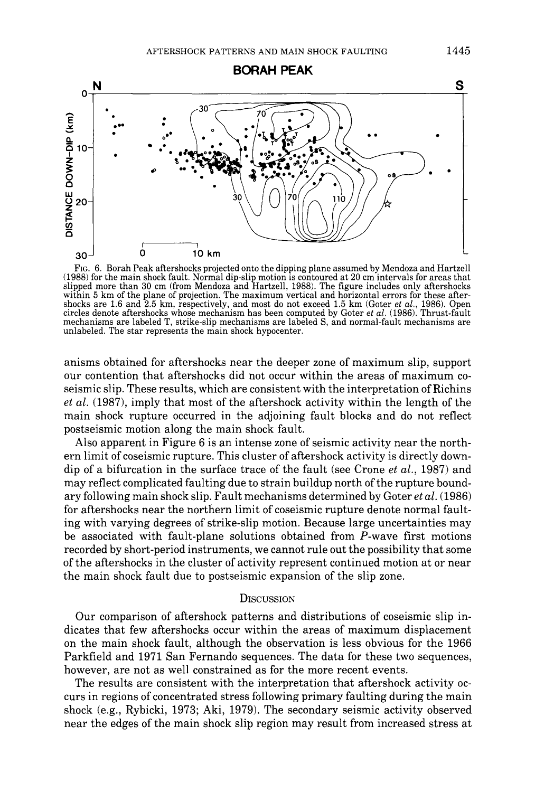

FIG. 6. Borah Peak aftershocks projected onto the dipping plane assumed by Mendoza and Hartzell (1988) for the main shock fault. Normal dip-slip motion is contoured at 20 cm intervals for areas that slipped more than 30 cm (from Mendoza and Hartzell, 1988). The figure includes only aftershocks within 5 km of the plane of projection. The maximum vertical and horizontal errors for these aftershocks are 1.6 and 2.5 km, respectively, and most do not exceed 1.5 km (Goter *et al.,* 1986). Open circles denote aftershocks whose mechanism has been computed by Goter *et al.* (1986). Thrust-fault mechanisms are labeled T, strike-slip mechanisms are labeled S, and normal-fault mechanisms are unlabeled. The star represents the main shock hypocenter.

anisms obtained for aftershocks near the deeper zone of maximum slip, support our contention that aftershocks did not occur within the areas of maximum coseismic slip. These results, which are consistent with the interpretation of Richins *et al.* (1987), imply that most of the aftershock activity within the length of the main shock rupture occurred in the adjoining fault blocks and do not reflect postseismic motion along the main shock fault.

Also apparent in Figure 6 is an intense zone of seismic activity near the northern limit of coseismic rupture. This cluster of aftershock activity is directly downdip of a bifurcation in the surface trace of the fault (see Crone *et al.,* 1987) and may reflect complicated faulting due to strain buildup north of the rupture boundary following main shock slip. Fault mechanisms determined by Goter *et al.* (1986) for aftershocks near the northern limit of coseismic rupture denote normal faulting with varying degrees of strike-slip motion. Because large uncertainties may be associated with fault-plane solutions obtained from P-wave first motions recorded by short-period instruments, we cannot rule out the possibility that some of the aftershocks in the cluster of activity represent continued motion at or near the main shock fault due to postseismic expansion of the slip zone.

## **DISCUSSION**

Our comparison of aftershock patterns and distributions of coseismic slip indicates that few aftershocks occur within the areas of maximum displacement on the main shock fault, although the observation is less obvious for the 1966 Parkfleld and 1971 San Fernando sequences. The data for these two sequences, however, are not as well constrained as for the more recent events.

The results are consistent with the interpretation that aftershock activity occurs in regions of concentrated stress following primary faulting during the main shock (e.g., Rybicki, 1973; Aki, 1979). The secondary seismic activity observed near the edges of the main shock slip region may result from increased stress at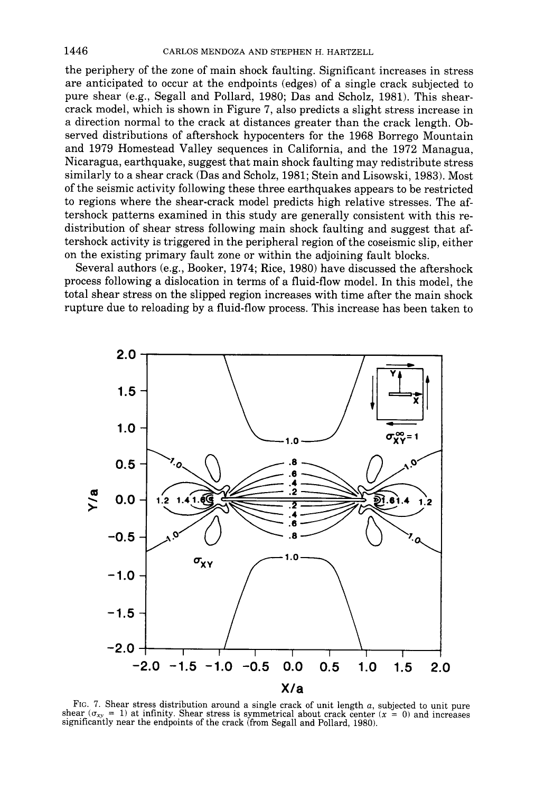the periphery of the zone of main shock faulting. Significant increases in stress are anticipated to occur at the endpoints (edges) of a single crack subjected to pure shear (e.g., Segall and Pollard, 1980; Das and Scholz, 1981). This shearcrack model, which is shown in Figure 7, also predicts a slight stress increase in a direction normal to the crack at distances greater than the crack length. Observed distributions of aftershock hypocenters for the 1968 Borrego Mountain and 1979 Homestead Valley sequences in California, and the 1972 Managua, Nicaragua, earthquake, suggest that main shock faulting may redistribute stress similarly to a shear crack (Das and Scholz, 1981; Stein and Lisowski, 1983). Most of the seismic activity following these three earthquakes appears to be restricted to regions where the shear-crack model predicts high relative stresses. The aftershock patterns examined in this study are generally consistent with this redistribution of shear stress following main shock faulting and suggest that aftershock activity is triggered in the peripheral region of the coseismic slip, either on the existing primary fault zone or within the adjoining fault blocks.

Several authors (e.g., Booker, 1974; Rice, 1980) have discussed the aftershock process following a dislocation in terms of a fluid-flow model. In this model, the total shear stress on the slipped region increases with time after the main shock rupture due to reloading by a fluid-flow process. This increase has been taken to



FIG. 7. Shear stress distribution around a single crack of unit length  $a$ , subjected to unit pure shear ( $\sigma_{xy} = 1$ ) at infinity. Shear stress is symmetrical about crack center (x = 0) and increases significantly near the endpoints of the crack (from Segall and Pollard, 1980).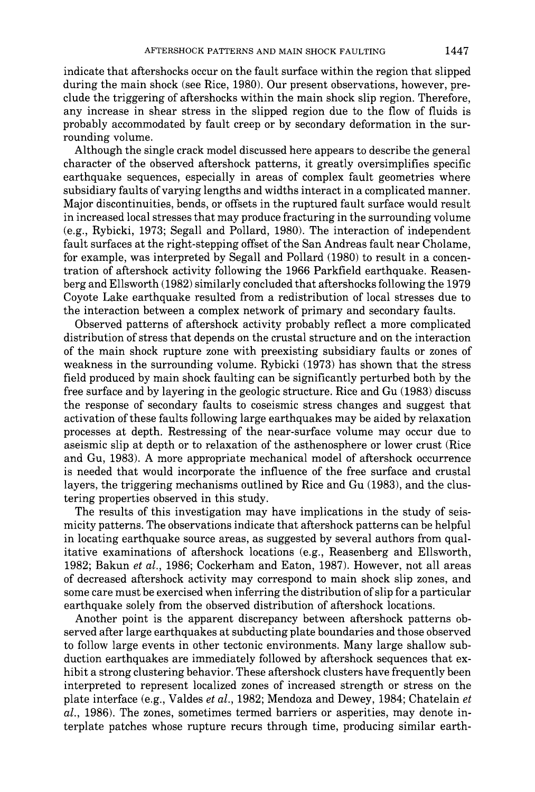indicate that aftershocks occur on the fault surface within the region that slipped during the main shock (see Rice, 1980). Our present observations, however, preclude the triggering of aftershocks within the main shock slip region. Therefore, any increase in shear stress in the slipped region due to the flow of fluids is probably accommodated by fault creep or by secondary deformation in the surrounding volume.

Although the single crack model discussed here appears to describe the general character of the observed aftershock patterns, it greatly oversimplifies specific earthquake sequences, especially in areas of complex fault geometries where subsidiary faults of varying lengths and widths interact in a complicated manner. Major discontinuities, bends, or offsets in the ruptured fault surface would result in increased local stresses that may produce fracturing in the surrounding volume (e.g., Rybicki, 1973; Segall and Pollard, 1980). The interaction of independent fault surfaces at the right-stepping offset of the San Andreas fault near Cholame, for example, was interpreted by Segall and Pollard (1980) to result in a concentration of aftershock activity following the 1966 Parkfield earthquake. Reasenberg and Ellsworth (1982) similarly concluded that aftershocks following the 1979 Coyote Lake earthquake resulted from a redistribution of local stresses due to the interaction between a complex network of primary and secondary faults.

Observed patterns of aftershock activity probably reflect a more complicated distribution of stress that depends on the crustal structure and on the interaction of the main shock rupture zone with preexisting subsidiary faults or zones of weakness in the surrounding volume. Rybicki (1973) has shown that the stress field produced by main shock faulting can be significantly perturbed both by the free surface and by layering in the geologic structure. Rice and Gu (1983) discuss the response of secondary faults to coseismic stress changes and suggest that activation of these faults following large earthquakes may be aided by relaxation processes at depth. Restressing of the near-surface volume may occur due to aseismic slip at depth or to relaxation of the asthenosphere or lower crust (Rice and Gu, 1983). A more appropriate mechanical model of aftershock occurrence is needed that would incorporate the influence of the free surface and crustal layers, the triggering mechanisms outlined by Rice and Gu (1983), and the clustering properties observed in this study.

The results of this investigation may have implications in the study of seismicity patterns. The observations indicate that aftershock patterns can be helpful in locating earthquake source areas, as suggested by several authors from qualitative examinations of aftershock locations (e.g., Reasenberg and Ellsworth, 1982; Bakun *et al.,* 1986; Cockerham and Eaton, 1987). However, not all areas of decreased aftershock activity may correspond to main shock slip zones, and some care must be exercised when inferring the distribution of slip for a particular earthquake solely from the observed distribution of aftershock locations.

Another point is the apparent discrepancy between aftershock patterns observed after large earthquakes at subducting plate boundaries and those observed to follow large events in other tectonic environments. Many large shallow subduction earthquakes are immediately followed by aftershock sequences that exhibit a strong clustering behavior. These aftershock clusters have frequently been interpreted to represent localized zones of increased strength or stress on the plate interface (e.g., Valdes *et al.,* 1982; Mendoza and Dewey, 1984; Chatelain *et al.,* 1986). The zones, sometimes termed barriers or asperities, may denote interplate patches whose rupture recurs through time, producing similar earth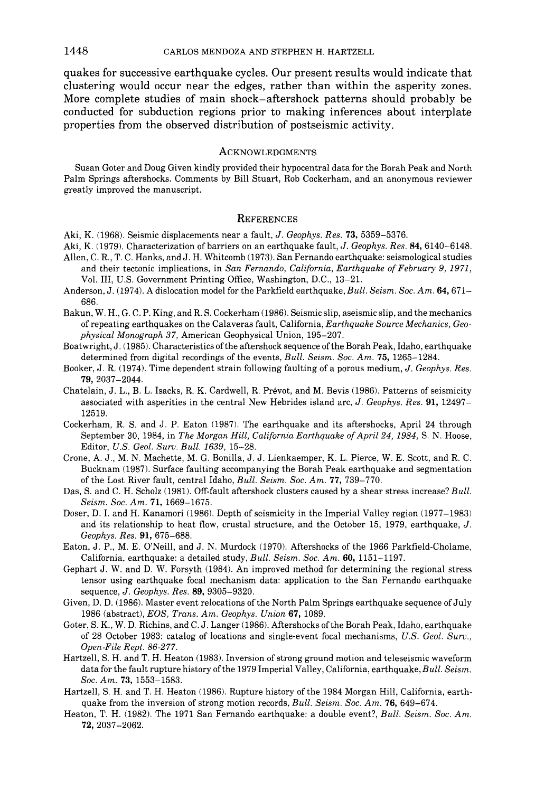quakes for successive earthquake cycles. Our present results would indicate that clustering would occur near the edges, rather than within the asperity zones. More complete studies of main shock-aftershock patterns should probably be conducted for subduction regions prior to making inferences about interplate properties from the observed distribution of postseismic activity.

#### ACKNOWLEDGMENTS

Susan Goter and Doug Given kindly provided their hypocentral data for the Borah Peak and North Palm Springs aftershocks. Comments by Bill Stuart, Rob Cockerham, and an anonymous reviewer greatly improved the manuscript.

#### **REFERENCES**

- Aki, K. (1968). Seismic displacements near a fault, *J. Geophys. Res.* 73, 5359-5376.
- Aki, K. (1979). Characterization of barriers on an earthquake fault, *J. Geophys. Res.* 84, 6140-6148.
- Allen, C. R., T. C. Hanks, and J. H. Whitcomb (1973). San Fernando earthquake: seismological studies and their tectonic implications, in *San Fernando, California, Earthquake of February 9, 1971,*  Vol. III, U.S. Government Printing Office, Washington, D.C., 13-21.
- Anderson, J. (1974). A dislocation model for the Parkfield earthquake, *Bull. Seism. Soc. Am.* 64, 671- 686.
- Bakun, W. H., G. C. P. King, and R. S. Cockerham (1986). Seismic slip, aseismic slip, and the mechanics of repeating earthquakes on the Calaveras fault, California, *Earthquake Source Mechanics, Geophysical Monograph 37,* American Geophysical Union, 195-207.
- Boatwright, J. (1985). Characteristics of the aftershock sequence of the Borah Peak, Idaho, earthquake determined from digital recordings of the events, *Bull. Seism. Soc. Am.* 75, 1265-1284.
- Booker, J. R. (1974). Time dependent strain following faulting of a porous medium, *J. Geophys. Res.*  79, 2037-2044.
- Chatelain, J. L., B. L. Isacks, R. K. Cardwell, R. Prévot, and M. Bevis (1986). Patterns of seismicity associated with asperities in the central New Hebrides island arc, *J. Geophys. Res.* 91, 12497- 12519.
- Cockerham, R. S. and J. P. Eaton (1987). The earthquake and its aftershocks, April 24 through September 30, 1984, in *The Morgan Hill, California Earthquake of April 24, 1984,* S. N. Hoose, Editor, *U.S. Geol. Surv. Bull. 1639,* 15-28.
- Crone, A. J., M. N. Machette, M. G, Bonilla, J. J. Lienkaemper, K. L. Pierce, W. E. Scott, and R. C. Bucknam (1987). Surface faulting accompanying the Borah Peak earthquake and segmentation of the Lost River fault, central Idaho, *Bull. Seism. Soc. Am.* 77, 739-770.
- Das, S. and C. H. Scholz (1981). Off-fault aftershock clusters caused by a shear stress increase? *Bull. Seism. Soc. Am.* 71, 1669-1675.
- Doser, D. I. and H. Kanamori (1986). Depth of seismicity in the Imperial Valley region (1977-1983) and its relationship to heat flow, crustal structure, and the October 15, 1979, earthquake, J. *Geophys. Res.* 91,675-688.
- Eaton, J. P., M. E. O'Neill, and J. N. Murdock (1970). Aftershocks of the 1966 Parkfield-Cholame, California, earthquake: a detailed study, *Bull. Seism. Soc. Am.* 60, 1151-1197.
- Gephart J. W. and D. W. Forsyth (1984). An improved method for determining the regional stress tensor using earthquake focal mechanism data: application to the San Fernando earthquake sequence, *J. Geophys. Res.* 89, 9305-9320.
- Given, D. D. (1986). Master event relocations of the North Palm Springs earthquake sequence of July 1986 (abstract), *EOS, Trans. Am. Geophys. Union* 67, 1089.
- Goter, S. K., W. D. Richins, and C. J. Langer (1986). Aftershocks of the Borah Peak, Idaho, earthquake of 28 October 1983: catalog of locations and single-event focal mechanisms, *U.S. Geol. Surv., Open-File Rept. 86-277.*
- Hartzell, S. H. and T. H. Heaton (1983). Inversion of strong ground motion and teleseismic waveform data for the fault rupture history of the 1979 Imperial Valley, California, earthquake, *Bull. Seism. Soc. Am.* 73, 1553-1583.
- Hartzell, S. H. and T. H. Heaton (1986). Rupture history of the 1984 Morgan Hill, California, earthquake from the inversion of strong motion records, *Bull. Seism. Soc. Am.* 76, 649-674.
- Heaton, T. H. (1982). The 1971 San Fernando earthquake: a double event?, *Bull. Seism. Soc. Am.*  72, 2037-2062.